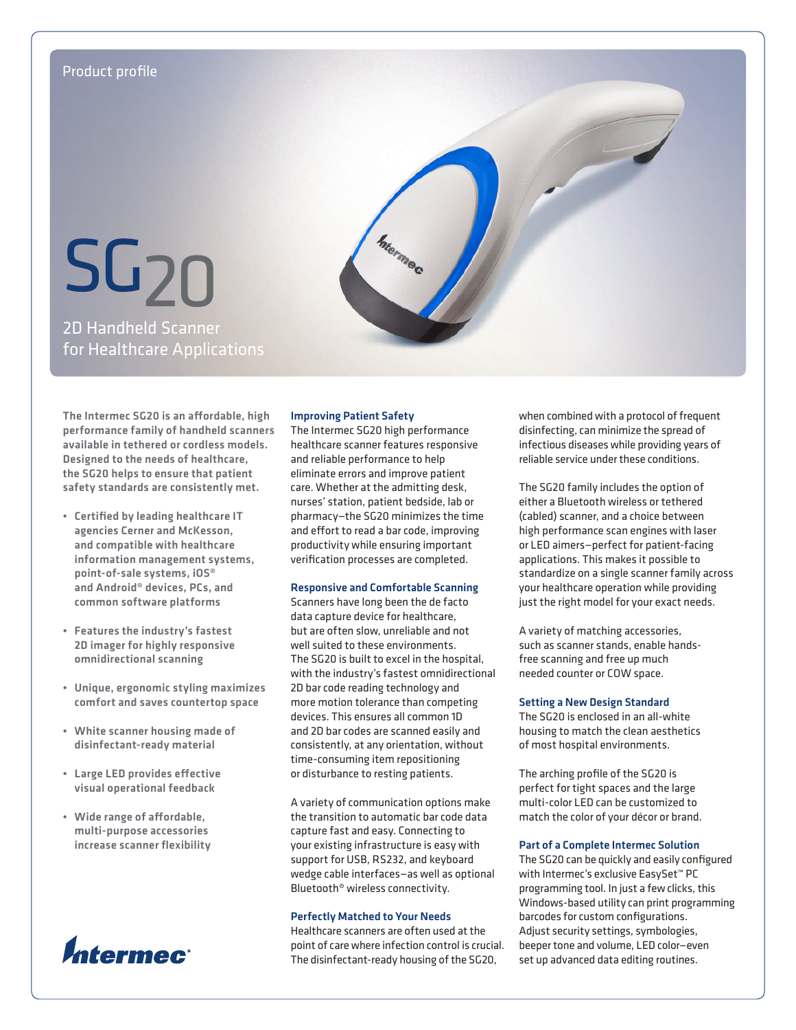

The Intermec SG20 is an affordable, high performance family of handheld scanners available in tethered or cordless models. Designed to the needs of healthcare, the SG20 helps to ensure that patient safety standards are consistently met.

- • Certified by leading healthcare IT agencies Cerner and McKesson, and compatible with healthcare information management systems, point-of-sale systems, iOS® and Android® devices, PCs, and common software platforms
- Features the industry's fastest 2D imager for highly responsive omnidirectional scanning
- • Unique, ergonomic styling maximizes comfort and saves countertop space
- • White scanner housing made of disinfectant-ready material
- • Large LED provides effective visual operational feedback
- • Wide range of affordable, multi-purpose accessories increase scanner flexibility



## Improving Patient Safety

The Intermec SG20 high performance healthcare scanner features responsive and reliable performance to help eliminate errors and improve patient care. Whether at the admitting desk, nurses' station, patient bedside, lab or pharmacy—the SG20 minimizes the time and effort to read a bar code, improving productivity while ensuring important verification processes are completed.

## Responsive and Comfortable Scanning

Scanners have long been the de facto data capture device for healthcare, but are often slow, unreliable and not well suited to these environments. The SG20 is built to excel in the hospital, with the industry's fastest omnidirectional 2D bar code reading technology and more motion tolerance than competing devices. This ensures all common 1D and 2D bar codes are scanned easily and consistently, at any orientation, without time-consuming item repositioning or disturbance to resting patients.

A variety of communication options make the transition to automatic bar code data capture fast and easy. Connecting to your existing infrastructure is easy with support for USB, RS232, and keyboard wedge cable interfaces—as well as optional Bluetooth® wireless connectivity.

## Perfectly Matched to Your Needs

Healthcare scanners are often used at the point of care where infection control is crucial. The disinfectant-ready housing of the SG20,

when combined with a protocol of frequent disinfecting, can minimize the spread of infectious diseases while providing years of reliable service under these conditions.

The SG20 family includes the option of either a Bluetooth wireless or tethered (cabled) scanner, and a choice between high performance scan engines with laser or LED aimers—perfect for patient-facing applications. This makes it possible to standardize on a single scanner family across your healthcare operation while providing just the right model for your exact needs.

A variety of matching accessories, such as scanner stands, enable handsfree scanning and free up much needed counter or COW space.

## Setting a New Design Standard

The SG20 is enclosed in an all-white housing to match the clean aesthetics of most hospital environments.

The arching profile of the SG20 is perfect for tight spaces and the large multi-color LED can be customized to match the color of your décor or brand.

## Part of a Complete Intermec Solution

The SG20 can be quickly and easily configured with Intermec's exclusive EasySet™ PC programming tool. In just a few clicks, this Windows-based utility can print programming barcodes for custom configurations. Adjust security settings, symbologies, beeper tone and volume, LED color—even set up advanced data editing routines.